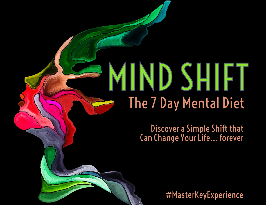Mind Shift - The 7 Day Mental District

Discover a Simple Shift that<br>Can Change Your Life... forever

#MasterKeyExperience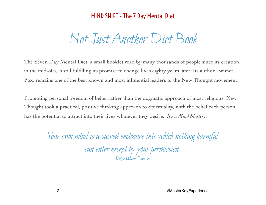# Not Just Another Diet Book

The Seven Day Mental Diet, a small booklet read by many thousands of people since its creation in the mid-30s, is still fulfilling its promise to change lives eighty years later. Its author, Emmet Fox, remains one of the best known and most influential leaders of the New Thought movement.

Promoting personal freedom of belief rather than the dogmatic approach of most religions, New Thought took a practical, positive thinking approach to Spirituality, with the belief each person has the potential to attract into their lives whatever they desire. *It's a Mind Shifter…*

> Your own mind is a sacred enclosure into which nothing harmful can enter except by your permission. - Ralph Waldo Emerson -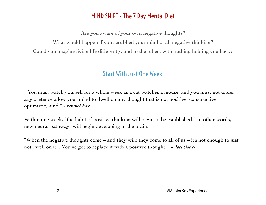Are you aware of your own negative thoughts?

What would happen if you scrubbed your mind of all negative thinking?

Could you imagine living life differently, and to the fullest with nothing holding you back?

# Start With Just One Week

 "You must watch yourself for a whole week as a cat watches a mouse, and you must not under any pretence allow your mind to dwell on any thought that is not positive, constructive, optimistic, kind." - *Emmet Fox*

Within one week, "the habit of positive thinking will begin to be established." In other words, new neural pathways will begin developing in the brain.

"When the negative thoughts come – and they will; they come to all of us – it's not enough to just not dwell on it... You've got to replace it with a positive thought" - *Joel Osteen*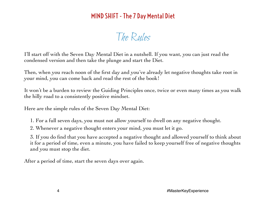The Rules

I'll start off with the Seven Day Mental Diet in a nutshell. If you want, you can just read the condensed version and then take the plunge and start the Diet.

Then, when you reach noon of the first day and you've already let negative thoughts take root in your mind, you can come back and read the rest of the book!

It won't be a burden to review the Guiding Principles once, twice or even many times as you walk the hilly road to a consistently positive mindset.

Here are the simple rules of the Seven Day Mental Diet:

1. For a full seven days, you must not allow yourself to dwell on any negative thought.

2. Whenever a negative thought enters your mind, you must let it go.

3. If you do find that you have accepted a negative thought and allowed yourself to think about it for a period of time, even a minute, you have failed to keep yourself free of negative thoughts and you must stop the diet.

After a period of time, start the seven days over again.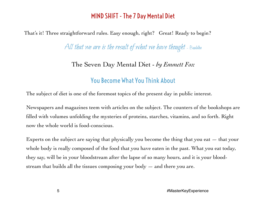That's it! Three straightforward rules. Easy enough, right? Great! Ready to begin?

All that we are is the result of what we have thought - Buddha

#### The Seven Day Mental Diet - *by Emmett Fox*

#### You Become What You Think About

The subject of diet is one of the foremost topics of the present day in public interest.

Newspapers and magazines teem with articles on the subject. The counters of the bookshops are filled with volumes unfolding the mysteries of proteins, starches, vitamins, and so forth. Right now the whole world is food-conscious.

Experts on the subject are saying that physically you become the thing that you eat  $-$  that your whole body is really composed of the food that you have eaten in the past. What you eat today, they say, will be in your bloodstream after the lapse of so many hours, and it is your bloodstream that builds all the tissues composing your body  $-$  and there you are.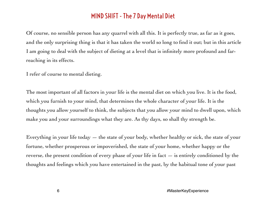Of course, no sensible person has any quarrel with all this. It is perfectly true, as far as it goes, and the only surprising thing is that it has taken the world so long to find it out; but in this article I am going to deal with the subject of dieting at a level that is infinitely more profound and farreaching in its effects.

I refer of course to mental dieting.

The most important of all factors in your life is the mental diet on which you live. It is the food, which you furnish to your mind, that determines the whole character of your life. It is the thoughts you allow yourself to think, the subjects that you allow your mind to dwell upon, which make you and your surroundings what they are. As thy days, so shall thy strength be.

Everything in your life today — the state of your body, whether healthy or sick, the state of your fortune, whether prosperous or impoverished, the state of your home, whether happy or the reverse, the present condition of every phase of your life in fact — is entirely conditioned by the thoughts and feelings which you have entertained in the past, by the habitual tone of your past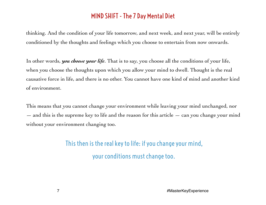thinking. And the condition of your life tomorrow, and next week, and next year, will be entirely conditioned by the thoughts and feelings which you choose to entertain from now onwards.

In other words, *you choose your life*. That is to say, you choose all the conditions of your life, when you choose the thoughts upon which you allow your mind to dwell. Thought is the real causative force in life, and there is no other. You cannot have one kind of mind and another kind of environment.

This means that you cannot change your environment while leaving your mind unchanged, nor  $-$  and this is the supreme key to life and the reason for this article  $-$  can you change your mind without your environment changing too.

> This then is the real key to life: if you change your mind, your conditions must change too.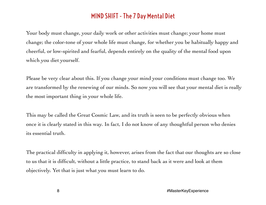Your body must change, your daily work or other activities must change; your home must change; the color-tone of your whole life must change, for whether you be habitually happy and cheerful, or low-spirited and fearful, depends entirely on the quality of the mental food upon which you diet yourself.

Please be very clear about this. If you change your mind your conditions must change too. We are transformed by the renewing of our minds. So now you will see that your mental diet is really the most important thing in your whole life.

This may be called the Great Cosmic Law, and its truth is seen to be perfectly obvious when once it is clearly stated in this way. In fact, I do not know of any thoughtful person who denies its essential truth.

The practical difficulty in applying it, however, arises from the fact that our thoughts are so close to us that it is difficult, without a little practice, to stand back as it were and look at them objectively. Yet that is just what you must learn to do.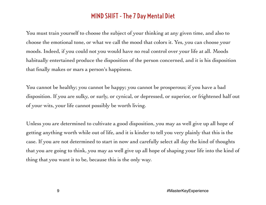You must train yourself to choose the subject of your thinking at any given time, and also to choose the emotional tone, or what we call the mood that colors it. Yes, you can choose your moods. Indeed, if you could not you would have no real control over your life at all. Moods habitually entertained produce the disposition of the person concerned, and it is his disposition that finally makes or mars a person's happiness.

You cannot be healthy; you cannot be happy; you cannot be prosperous; if you have a bad disposition. If you are sulky, or surly, or cynical, or depressed, or superior, or frightened half out of your wits, your life cannot possibly be worth living.

Unless you are determined to cultivate a good disposition, you may as well give up all hope of getting anything worth while out of life, and it is kinder to tell you very plainly that this is the case. If you are not determined to start in now and carefully select all day the kind of thoughts that you are going to think, you may as well give up all hope of shaping your life into the kind of thing that you want it to be, because this is the only way.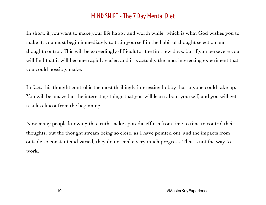In short, if you want to make your life happy and worth while, which is what God wishes you to make it, you must begin immediately to train yourself in the habit of thought selection and thought control. This will be exceedingly difficult for the first few days, but if you persevere you will find that it will become rapidly easier, and it is actually the most interesting experiment that you could possibly make.

In fact, this thought control is the most thrillingly interesting hobby that anyone could take up. You will be amazed at the interesting things that you will learn about yourself, and you will get results almost from the beginning.

Now many people knowing this truth, make sporadic efforts from time to time to control their thoughts, but the thought stream being so close, as I have pointed out, and the impacts from outside so constant and varied, they do not make very much progress. That is not the way to work.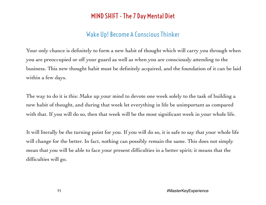# Wake Up! Become A Conscious Thinker

Your only chance is definitely to form a new habit of thought which will carry you through when you are preoccupied or off your guard as well as when you are consciously attending to the business. This new thought habit must be definitely acquired, and the foundation of it can be laid within a few days.

The way to do it is this: Make up your mind to devote one week solely to the task of building a new habit of thought, and during that week let everything in life be unimportant as compared with that. If you will do so, then that week will be the most significant week in your whole life.

It will literally be the turning point for you. If you will do so, it is safe to say that your whole life will change for the better. In fact, nothing can possibly remain the same. This does not simply mean that you will be able to face your present difficulties in a better spirit; it means that the difficulties will go.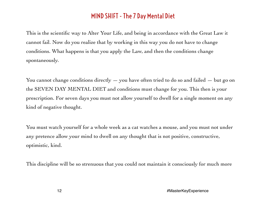This is the scientific way to Alter Your Life, and being in accordance with the Great Law it cannot fail. Now do you realize that by working in this way you do not have to change conditions. What happens is that you apply the Law, and then the conditions change spontaneously.

You cannot change conditions directly  $-$  you have often tried to do so and failed  $-$  but go on the SEVEN DAY MENTAL DIET and conditions must change for you. This then is your prescription. For seven days you must not allow yourself to dwell for a single moment on any kind of negative thought.

You must watch yourself for a whole week as a cat watches a mouse, and you must not under any pretence allow your mind to dwell on any thought that is not positive, constructive, optimistic, kind.

This discipline will be so strenuous that you could not maintain it consciously for much more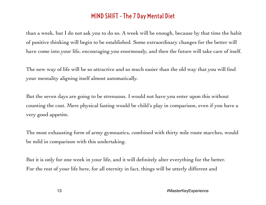than a week, but I do not ask you to do so. A week will be enough, because by that time the habit of positive thinking will begin to be established. Some extraordinary changes for the better will have come into your life, encouraging you enormously, and then the future will take care of itself.

The new way of life will be so attractive and so much easier than the old way that you will find your mentality aligning itself almost automatically.

But the seven days are going to be strenuous. I would not have you enter upon this without counting the cost. Mere physical fasting would be child's play in comparison, even if you have a very good appetite.

The most exhausting form of army gymnastics, combined with thirty mile route marches, would be mild in comparison with this undertaking.

But it is only for one week in your life, and it will definitely alter everything for the better. For the rest of your life here, for all eternity in fact, things will be utterly different and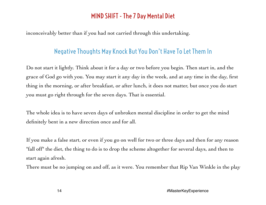inconceivably better than if you had not carried through this undertaking.

#### Negative Thoughts May Knock But You Don't Have To Let Them In

Do not start it lightly. Think about it for a day or two before you begin. Then start in, and the grace of God go with you. You may start it any day in the week, and at any time in the day, first thing in the morning, or after breakfast, or after lunch, it does not matter, but once you do start you must go right through for the seven days. That is essential.

The whole idea is to have seven days of unbroken mental discipline in order to get the mind definitely bent in a new direction once and for all.

If you make a false start, or even if you go on well for two or three days and then for any reason "fall off" the diet, the thing to do is to drop the scheme altogether for several days, and then to start again afresh.

There must be no jumping on and off, as it were. You remember that Rip Van Winkle in the play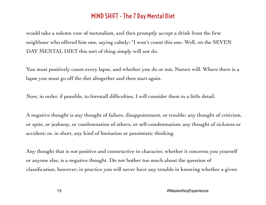would take a solemn vow of teetotalism, and then promptly accept a drink from the first neighbour who offered him one, saying calmly: "I won't count this one. Well, on the SEVEN DAY MENTAL DIET this sort of thing simply will not do.

You must positively count every lapse, and whether you do or not, Nature will. Where there is a lapse you must go off the diet altogether and then start again.

Now, in order, if possible, to forestall difficulties, I will consider them in a little detail.

A negative thought is any thought of failure, disappointment, or trouble; any thought of criticism, or spite, or jealousy, or condemnation of others, or self-condemnation; any thought of sickness or accident; or, in short, any kind of limitation or pessimistic thinking.

Any thought that is not positive and constructive in character, whether it concerns you yourself or anyone else, is a negative thought. Do not bother too much about the question of classification, however; in practice you will never have any trouble in knowing whether a given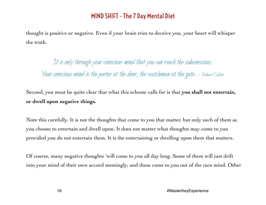thought is positive or negative. Even if your brain tries to deceive you, your heart will whisper the truth.

It is only through your conscious mind that you can reach the subconscious. Your conscious mind is the porter at the door, the watchman at the gate. - Robert Collier

Second, you must be quite clear that what this scheme calls for is that **you shall not entertain, or dwell upon negative things.** 

Note this carefully. It is not the thoughts that come to you that matter, but only such of them as you choose to entertain and dwell upon. It does not matter what thoughts may come to you provided you do not entertain them. It is the entertaining or dwelling upon them that matters.

Of course, many negative thoughts 'will come to you all day long. Some of them will just drift into your mind of their own accord seemingly, and these come to you out of the race mind. Other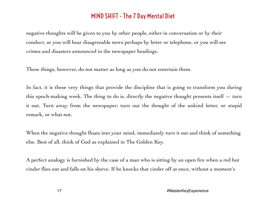negative thoughts will be given to you by other people, either in conversation or by their conduct, or you will hear disagreeable news perhaps by letter or telephone, or you will see crimes and disasters announced in the newspaper headings.

These things, however, do not matter as long as you do not entertain them.

In fact, it is these very things that provide the discipline that is going to transform you during this epoch-making week. The thing to do is, directly the negative thought presents itself  $-$  turn it out. Turn away from the newspaper; turn out the thought of the unkind letter, or stupid remark, or what not.

When the negative thought floats into your mind, immediately turn it out and think of something else. Best of all, think of God as explained in The Golden Key.

A perfect analogy is furnished by the case of a man who is sitting by an open fire when a red hot cinder flies out and falls on his sleeve. If he knocks that cinder off at once, without a moment's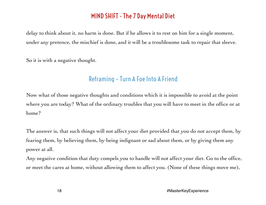delay to think about it, no harm is done. But if he allows it to rest on him for a single moment, under any pretence, the mischief is done, and it will be a troublesome task to repair that sleeve.

So it is with a negative thought.

# Reframing – Turn A Foe Into A Friend

Now what of those negative thoughts and conditions which it is impossible to avoid at the point where you are today? What of the ordinary troubles that you will have to meet in the office or at home?

The answer is, that such things will not affect your diet provided that you do not accept them, by fearing them, by believing them, by being indignant or sad about them, or by giving them any power at all.

Any negative condition that duty compels you to handle will not affect your diet. Go to the office, or meet the cares at home, without allowing them to affect you. (None of these things move me),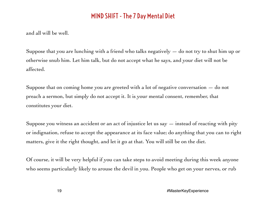and all will be well.

Suppose that you are lunching with a friend who talks negatively  $-$  do not try to shut him up or otherwise snub him. Let him talk, but do not accept what he says, and your diet will not be affected.

Suppose that on coming home you are greeted with a lot of negative conversation  $-$  do not preach a sermon, but simply do not accept it. It is your mental consent, remember, that constitutes your diet.

Suppose you witness an accident or an act of injustice let us say  $-$  instead of reacting with pity or indignation, refuse to accept the appearance at its face value; do anything that you can to right matters, give it the right thought, and let it go at that. You will still be on the diet.

Of course, it will be very helpful if you can take steps to avoid meeting during this week anyone who seems particularly likely to arouse the devil in you. People who get on your nerves, or rub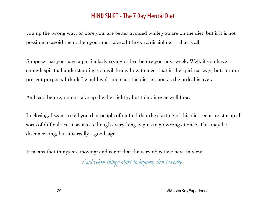you up the wrong way, or bore you, are better avoided while you are on the diet; but if it is not possible to avoid them, then you must take a little extra discipline  $-$  that is all.

Suppose that you have a particularly trying ordeal before you next week. Well, if you have enough spiritual understanding you will know how to meet that in the spiritual way; but, for our present purpose, I think I would wait and start the diet as soon as the ordeal is over.

As I said before, do not take up the diet lightly, but think it over well first.

In closing, I want to tell you that people often find that the starting of this diet seems to stir up all sorts of difficulties. It seems as though everything begins to go wrong at once. This may be disconcerting, but it is really a good sign.

It means that things are moving; and is not that the very object we have in view.

And when things start to happen, don't worry.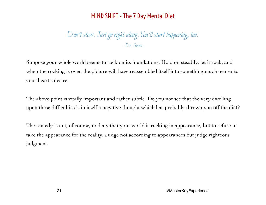Don't stew. Just go right along. You'll start happening, too. - Dr. Seuss -

Suppose your whole world seems to rock on its foundations. Hold on steadily, let it rock, and when the rocking is over, the picture will have reassembled itself into something much nearer to your heart's desire.

The above point is vitally important and rather subtle. Do you not see that the very dwelling upon these difficulties is in itself a negative thought which has probably thrown you off the diet?

The remedy is not, of course, to deny that your world is rocking in appearance, but to refuse to take the appearance for the reality. Judge not according to appearances but judge righteous judgment.